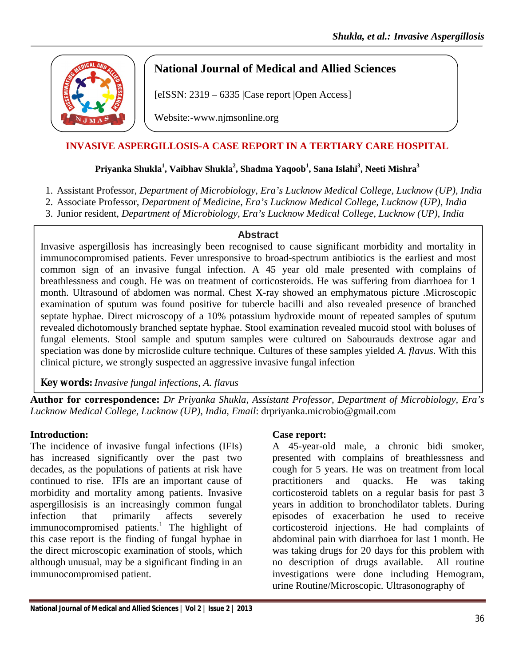

# **National Journal of Medical and Allied Sciences**

[eISSN: 2319 – 6335 |Case report |Open Access]

Website:-www.njmsonline.org

# **INVASIVE ASPERGILLOSIS-A CASE REPORT IN A TERTIARY CARE HOSPITAL**

#### $\text{Priyanka Shukla}^1, \text{Vaibhav Shukla}^2, \text{Shadma Yaqoob}^1, \text{Sana Islahi}^3, \text{Neeti Mishra}^3$

- 1. Assistant Professor, *Department of Microbiology, Era's Lucknow Medical College, Lucknow (UP), India*
- 2. Associate Professor, *Department of Medicine, Era's Lucknow Medical College, Lucknow (UP), India*
- 3. Junior resident, *Department of Microbiology, Era's Lucknow Medical College, Lucknow (UP), India*

#### **Abstract**

Invasive aspergillosis has increasingly been recognised to cause significant morbidity and mortality in immunocompromised patients. Fever unresponsive to broad-spectrum antibiotics is the earliest and most common sign of an invasive fungal infection. A 45 year old male presented with complains of breathlessness and cough. He was on treatment of corticosteroids. He was suffering from diarrhoea for 1 month. Ultrasound of abdomen was normal. Chest X-ray showed an emphymatous picture .Microscopic examination of sputum was found positive for tubercle bacilli and also revealed presence of branched septate hyphae. Direct microscopy of a 10% potassium hydroxide mount of repeated samples of sputum revealed dichotomously branched septate hyphae. Stool examination revealed mucoid stool with boluses of fungal elements. Stool sample and sputum samples were cultured on Sabourauds dextrose agar and speciation was done by microslide culture technique. Cultures of these samples yielded *A. flavus*. With this clinical picture, we strongly suspected an aggressive invasive fungal infection

**Key words:** *Invasive fungal infections*, *A. flavus*

**Author for correspondence:** *Dr Priyanka Shukla*, *Assistant Professor, Department of Microbiology, Era's Lucknow Medical College, Lucknow (UP), India*, *Email*: drpriyanka.microbio@gmail.com

# **Introduction:**

The incidence of invasive fungal infections (IFIs) has increased significantly over the past two decades, as the populations of patients at risk have continued to rise. IFIs are an important cause of morbidity and mortality among patients. Invasive aspergillosisis is an increasingly common fungal infection that primarily affects severely immunocompromised patients.<sup>1</sup> The highlight of this case report is the finding of fungal hyphae in the direct microscopic examination of stools, which although unusual, may be a significant finding in an immunocompromised patient.

# **Case report:**

A 45-year-old male, a chronic bidi smoker, presented with complains of breathlessness and cough for 5 years. He was on treatment from local practitioners and quacks. He was taking corticosteroid tablets on a regular basis for past 3 years in addition to bronchodilator tablets. During episodes of exacerbation he used to receive corticosteroid injections. He had complaints of abdominal pain with diarrhoea for last 1 month. He was taking drugs for 20 days for this problem with no description of drugs available. All routine investigations were done including Hemogram, urine Routine/Microscopic. Ultrasonography of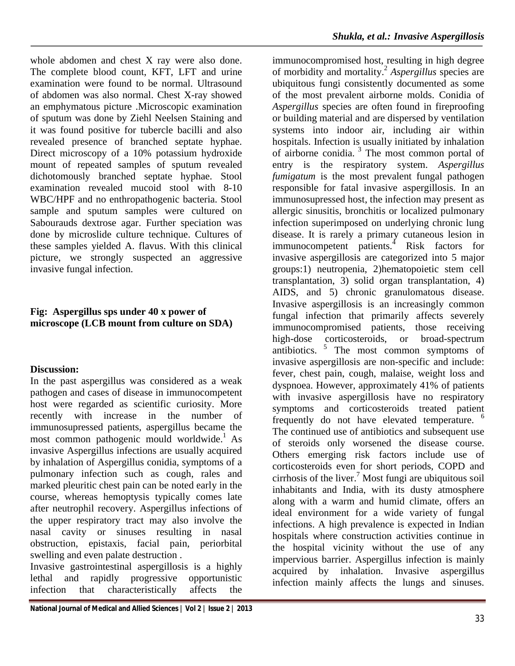whole abdomen and chest X ray were also done. The complete blood count, KFT, LFT and urine examination were found to be normal. Ultrasound of abdomen was also normal. Chest X-ray showed an emphymatous picture .Microscopic examination of sputum was done by Ziehl Neelsen Staining and it was found positive for tubercle bacilli and also revealed presence of branched septate hyphae. Direct microscopy of a 10% potassium hydroxide mount of repeated samples of sputum revealed dichotomously branched septate hyphae. Stool examination revealed mucoid stool with 8-10 WBC/HPF and no enthropathogenic bacteria. Stool sample and sputum samples were cultured on Sabourauds dextrose agar. Further speciation was done by microslide culture technique. Cultures of these samples yielded A. flavus. With this clinical picture, we strongly suspected an aggressive invasive fungal infection.

# **Fig: Aspergillus sps under 40 x power of microscope (LCB mount from culture on SDA)**

# **Discussion:**

In the past aspergillus was considered as a weak pathogen and cases of disease in immunocompetent host were regarded as scientific curiosity. More recently with increase in the number of immunosupressed patients, aspergillus became the most common pathogenic mould worldwide.<sup>1</sup> As invasive Aspergillus infections are usually acquired by inhalation of Aspergillus conidia, symptoms of a pulmonary infection such as cough, rales and marked pleuritic chest pain can be noted early in the course, whereas hemoptysis typically comes late after neutrophil recovery. Aspergillus infections of the upper respiratory tract may also involve the nasal cavity or sinuses resulting in nasal obstruction, epistaxis, facial pain, periorbital swelling and even palate destruction .

Invasive gastrointestinal aspergillosis is a highly lethal and rapidly progressive opportunistic infection that characteristically affects the

**National Journal of Medical and Allied Sciences | Vol 2 | Issue 2 | 2013** 

immunocompromised host, resulting in high degree of morbidity and mortality.2 *Aspergillus* species are ubiquitous fungi consistently documented as some of the most prevalent airborne molds. Conidia of *Aspergillus* species are often found in fireproofing or building material and are dispersed by ventilation systems into indoor air, including air within hospitals. Infection is usually initiated by inhalation of airborne conidia. <sup>3</sup> The most common portal of entry is the respiratory system. *Aspergillus fumigatum* is the most prevalent fungal pathogen responsible for fatal invasive aspergillosis. In an immunosupressed host, the infection may present as allergic sinusitis, bronchitis or localized pulmonary infection superimposed on underlying chronic lung disease. It is rarely a primary cutaneous lesion in immunocompetent patients.<sup>4</sup> Risk factors for invasive aspergillosis are categorized into 5 major groups:1) neutropenia, 2)hematopoietic stem cell transplantation, 3) solid organ transplantation, 4) AIDS, and 5) chronic granulomatous disease. Invasive aspergillosis is an increasingly common fungal infection that primarily affects severely immunocompromised patients, those receiving high-dose corticosteroids, or broad-spectrum antibiotics. <sup>5</sup> The most common symptoms of invasive aspergillosis are non-specific and include: fever, chest pain, cough, malaise, weight loss and dyspnoea. However, approximately 41% of patients with invasive aspergillosis have no respiratory symptoms and corticosteroids treated patient frequently do not have elevated temperature. <sup>6</sup> The continued use of antibiotics and subsequent use of steroids only worsened the disease course. Others emerging risk factors include use of corticosteroids even for short periods, COPD and cirrhosis of the liver.<sup>7</sup> Most fungi are ubiquitous soil inhabitants and India, with its dusty atmosphere along with a warm and humid climate, offers an ideal environment for a wide variety of fungal infections. A high prevalence is expected in Indian hospitals where construction activities continue in the hospital vicinity without the use of any impervious barrier. Aspergillus infection is mainly acquired by inhalation. Invasive aspergillus infection mainly affects the lungs and sinuses.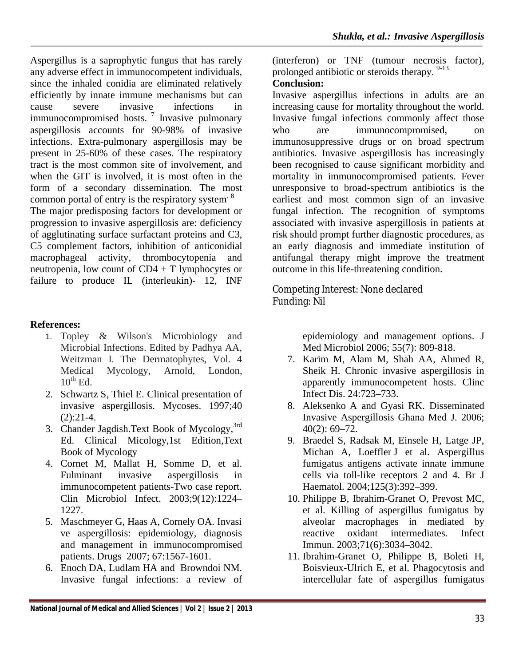Aspergillus is a saprophytic fungus that has rarely any adverse effect in immunocompetent individuals, since the inhaled conidia are eliminated relatively efficiently by innate immune mechanisms but can cause severe invasive infections in immunocompromised hosts.<sup>7</sup> Invasive pulmonary aspergillosis accounts for 90-98% of invasive infections. Extra-pulmonary aspergillosis may be present in 25-60% of these cases. The respiratory tract is the most common site of involvement, and when the GIT is involved, it is most often in the form of a secondary dissemination. The most common portal of entry is the respiratory system  $8$ The major predisposing factors for development or progression to invasive aspergillosis are: deficiency of agglutinating surface surfactant proteins and C3, C5 complement factors, inhibition of anticonidial macrophageal activity, thrombocytopenia and neutropenia, low count of CD4 + T lymphocytes or failure to produce IL (interleukin)- 12, INF

#### **References:**

- 1. Topley & Wilson's Microbiology and Microbial Infections. Edited by Padhya AA, Weitzman I. The Dermatophytes, Vol. 4 Medical Mycology, Arnold, London,  $10^{th}$  Ed.
- 2. Schwartz S, Thiel E. Clinical presentation of invasive aspergillosis. Mycoses. 1997;40  $(2):21-4.$
- 3. Chander Jagdish.Text Book of Mycology,<sup>3rd</sup> Ed. Clinical Micology,1st Edition,Text Book of Mycology
- 4. Cornet M, Mallat H, Somme D, et al. Fulminant invasive aspergillosis in immunocompetent patients-Two case report. Clin Microbiol Infect. 2003;9(12):1224– 1227.
- 5. Maschmeyer G, Haas A, Cornely OA. Invasi ve aspergillosis: epidemiology, diagnosis and management in immunocompromised patients. Drugs 2007; 67:1567-1601.
- 6. Enoch DA, Ludlam HA and Browndoi NM. Invasive fungal infections: a review of

(interferon) or TNF (tumour necrosis factor), prolonged antibiotic or steroids therapy. <sup>9-13</sup>

#### **Conclusion:**

Invasive aspergillus infections in adults are an increasing cause for mortality throughout the world. Invasive fungal infections commonly affect those who are immunocompromised, on immunosuppressive drugs or on broad spectrum antibiotics. Invasive aspergillosis has increasingly been recognised to cause significant morbidity and mortality in immunocompromised patients. Fever unresponsive to broad-spectrum antibiotics is the earliest and most common sign of an invasive fungal infection. The recognition of symptoms associated with invasive aspergillosis in patients at risk should prompt further diagnostic procedures, as an early diagnosis and immediate institution of antifungal therapy might improve the treatment outcome in this life-threatening condition.

Competing Interest: None declared Funding: Nil

> epidemiology and management options. J Med Microbiol 2006; 55(7): 809-818.

- 7. Karim M, Alam M, Shah AA, Ahmed R, Sheik H. Chronic invasive aspergillosis in apparently immunocompetent hosts. Clinc Infect Dis. 24:723–733.
- 8. Aleksenko A and Gyasi RK. Disseminated Invasive Aspergillosis Ghana Med J. 2006; 40(2): 69–72.
- 9. Braedel S, Radsak M, Einsele H, Latge JP, Michan A, Loeffler J et al. AspergiIlus fumigatus antigens activate innate immune cells via toll-like receptors 2 and 4. Br J Haematol. 2004;125(3):392–399.
- 10. Philippe B, Ibrahim-Granet O, Prevost MC, et al. Killing of aspergillus fumigatus by alveolar macrophages in mediated by reactive oxidant intermediates. Infect Immun. 2003;71(6):3034–3042.
- 11. Ibrahim-Granet O, Philippe B, Boleti H, Boisvieux-Ulrich E, et al. Phagocytosis and intercellular fate of aspergillus fumigatus